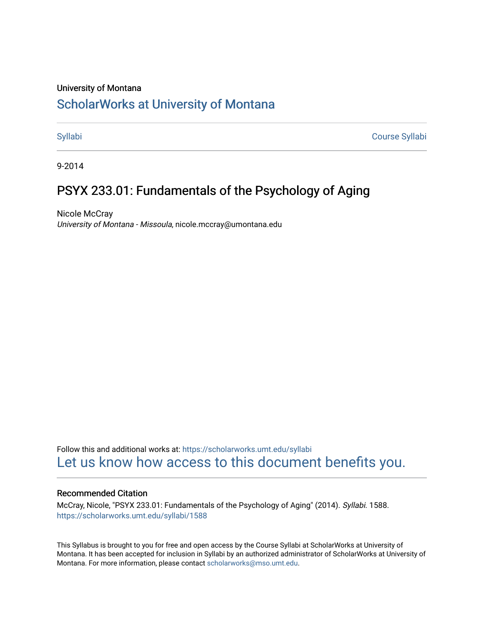#### University of Montana

# [ScholarWorks at University of Montana](https://scholarworks.umt.edu/)

[Syllabi](https://scholarworks.umt.edu/syllabi) [Course Syllabi](https://scholarworks.umt.edu/course_syllabi) 

9-2014

# PSYX 233.01: Fundamentals of the Psychology of Aging

Nicole McCray University of Montana - Missoula, nicole.mccray@umontana.edu

Follow this and additional works at: [https://scholarworks.umt.edu/syllabi](https://scholarworks.umt.edu/syllabi?utm_source=scholarworks.umt.edu%2Fsyllabi%2F1588&utm_medium=PDF&utm_campaign=PDFCoverPages)  [Let us know how access to this document benefits you.](https://goo.gl/forms/s2rGfXOLzz71qgsB2) 

#### Recommended Citation

McCray, Nicole, "PSYX 233.01: Fundamentals of the Psychology of Aging" (2014). Syllabi. 1588. [https://scholarworks.umt.edu/syllabi/1588](https://scholarworks.umt.edu/syllabi/1588?utm_source=scholarworks.umt.edu%2Fsyllabi%2F1588&utm_medium=PDF&utm_campaign=PDFCoverPages)

This Syllabus is brought to you for free and open access by the Course Syllabi at ScholarWorks at University of Montana. It has been accepted for inclusion in Syllabi by an authorized administrator of ScholarWorks at University of Montana. For more information, please contact [scholarworks@mso.umt.edu.](mailto:scholarworks@mso.umt.edu)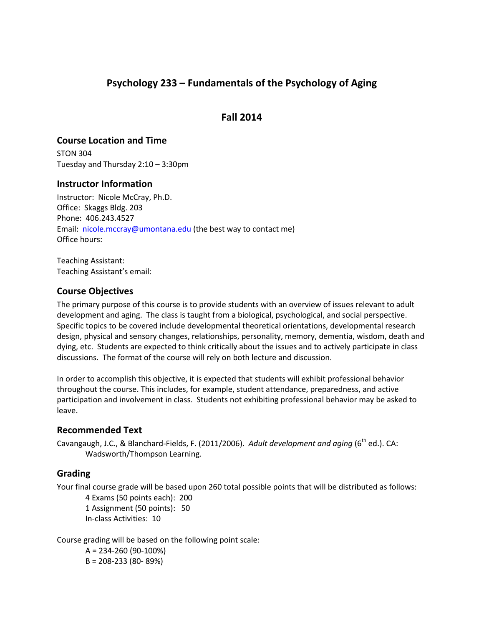## **Psychology 233 – Fundamentals of the Psychology of Aging**

**Fall 2014**

## **Course Location and Time**

STON 304 Tuesday and Thursday 2:10 – 3:30pm

## **Instructor Information**

Instructor: Nicole McCray, Ph.D. Office: Skaggs Bldg. 203 Phone: 406.243.4527 Email: [nicole.mccray@umontana.edu](mailto:nicole.mccray@umontana.edu) (the best way to contact me) Office hours:

Teaching Assistant: Teaching Assistant's email:

## **Course Objectives**

The primary purpose of this course is to provide students with an overview of issues relevant to adult development and aging. The class is taught from a biological, psychological, and social perspective. Specific topics to be covered include developmental theoretical orientations, developmental research design, physical and sensory changes, relationships, personality, memory, dementia, wisdom, death and dying, etc. Students are expected to think critically about the issues and to actively participate in class discussions. The format of the course will rely on both lecture and discussion.

In order to accomplish this objective, it is expected that students will exhibit professional behavior throughout the course. This includes, for example, student attendance, preparedness, and active participation and involvement in class. Students not exhibiting professional behavior may be asked to leave.

## **Recommended Text**

Cavangaugh, J.C., & Blanchard-Fields, F. (2011/2006). Adult development and aging (6<sup>th</sup> ed.). CA: Wadsworth/Thompson Learning.

## **Grading**

Your final course grade will be based upon 260 total possible points that will be distributed as follows:

4 Exams (50 points each): 200 1 Assignment (50 points): 50 In-class Activities: 10

Course grading will be based on the following point scale:

A = 234-260 (90-100%) B = 208-233 (80- 89%)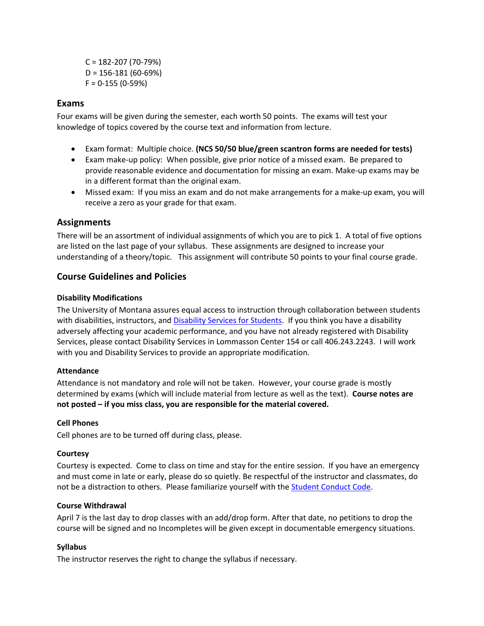C = 182-207 (70-79%) D = 156-181 (60-69%)  $F = 0-155 (0-59%)$ 

### **Exams**

Four exams will be given during the semester, each worth 50 points. The exams will test your knowledge of topics covered by the course text and information from lecture.

- Exam format: Multiple choice. **(NCS 50/50 blue/green scantron forms are needed for tests)**
- Exam make-up policy: When possible, give prior notice of a missed exam. Be prepared to provide reasonable evidence and documentation for missing an exam. Make-up exams may be in a different format than the original exam.
- Missed exam: If you miss an exam and do not make arrangements for a make-up exam, you will receive a zero as your grade for that exam.

## **Assignments**

There will be an assortment of individual assignments of which you are to pick 1. A total of five options are listed on the last page of your syllabus. These assignments are designed to increase your understanding of a theory/topic. This assignment will contribute 50 points to your final course grade.

## **Course Guidelines and Policies**

### **Disability Modifications**

The University of Montana assures equal access to instruction through collaboration between students with disabilities, instructors, an[d Disability Services for Students.](http://www.umt.edu/dss/) If you think you have a disability adversely affecting your academic performance, and you have not already registered with Disability Services, please contact Disability Services in Lommasson Center 154 or call 406.243.2243. I will work with you and Disability Services to provide an appropriate modification.

#### **Attendance**

Attendance is not mandatory and role will not be taken. However, your course grade is mostly determined by exams (which will include material from lecture as well as the text). **Course notes are not posted – if you miss class, you are responsible for the material covered.**

#### **Cell Phones**

Cell phones are to be turned off during class, please.

#### **Courtesy**

Courtesy is expected. Come to class on time and stay for the entire session. If you have an emergency and must come in late or early, please do so quietly. Be respectful of the instructor and classmates, do not be a distraction to others. Please familiarize yourself with th[e Student Conduct Code.](http://www.umt.edu/self-study2010/std3/Std3Exhibits/RE3-01/StudentConductCode.pdf)

#### **Course Withdrawal**

April 7 is the last day to drop classes with an add/drop form. After that date, no petitions to drop the course will be signed and no Incompletes will be given except in documentable emergency situations.

#### **Syllabus**

The instructor reserves the right to change the syllabus if necessary.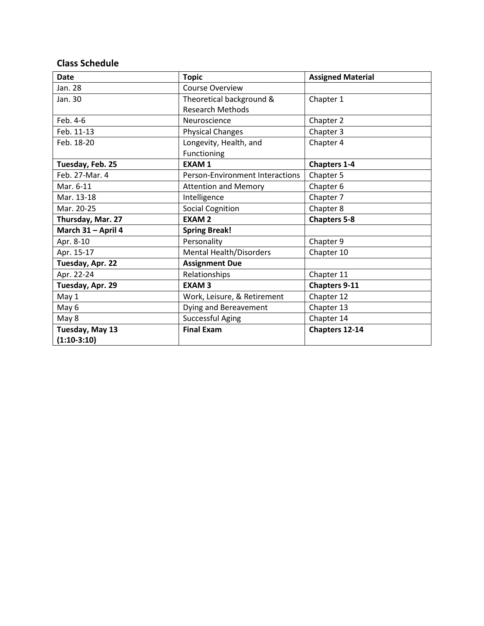## **Class Schedule**

| <b>Date</b>        | <b>Topic</b>                           | <b>Assigned Material</b> |
|--------------------|----------------------------------------|--------------------------|
| Jan. 28            | Course Overview                        |                          |
| Jan. 30            | Theoretical background &               | Chapter 1                |
|                    | <b>Research Methods</b>                |                          |
| Feb. 4-6           | Neuroscience                           | Chapter 2                |
| Feb. 11-13         | <b>Physical Changes</b>                | Chapter 3                |
| Feb. 18-20         | Longevity, Health, and                 | Chapter 4                |
|                    | Functioning                            |                          |
| Tuesday, Feb. 25   | <b>EXAM1</b>                           | <b>Chapters 1-4</b>      |
| Feb. 27-Mar. 4     | <b>Person-Environment Interactions</b> | Chapter 5                |
| Mar. 6-11          | <b>Attention and Memory</b>            | Chapter 6                |
| Mar. 13-18         | Intelligence                           | Chapter 7                |
| Mar. 20-25         | <b>Social Cognition</b>                | Chapter 8                |
| Thursday, Mar. 27  | <b>EXAM2</b>                           | <b>Chapters 5-8</b>      |
| March 31 - April 4 | <b>Spring Break!</b>                   |                          |
| Apr. 8-10          | Personality                            | Chapter 9                |
| Apr. 15-17         | <b>Mental Health/Disorders</b>         | Chapter 10               |
| Tuesday, Apr. 22   | <b>Assignment Due</b>                  |                          |
| Apr. 22-24         | Relationships                          | Chapter 11               |
| Tuesday, Apr. 29   | <b>EXAM3</b>                           | <b>Chapters 9-11</b>     |
| May 1              | Work, Leisure, & Retirement            | Chapter 12               |
| May 6              | Dying and Bereavement                  | Chapter 13               |
| May 8              | <b>Successful Aging</b>                | Chapter 14               |
| Tuesday, May 13    | <b>Final Exam</b>                      | Chapters 12-14           |
| $(1:10-3:10)$      |                                        |                          |